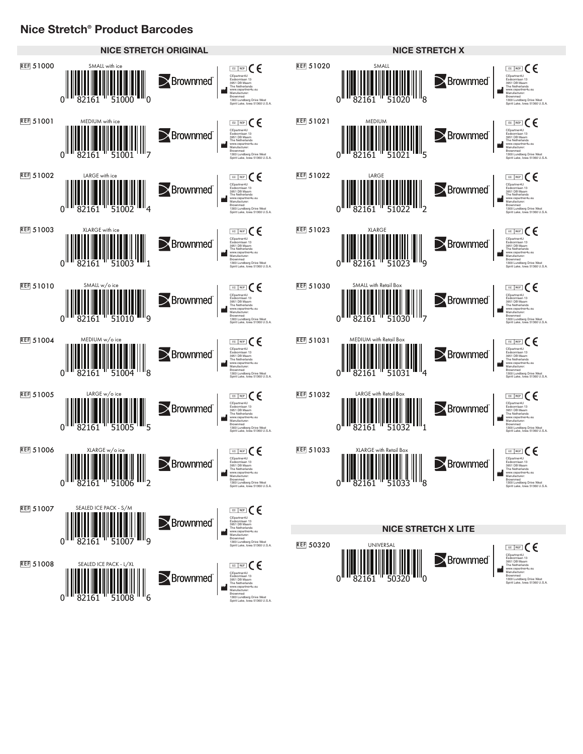## **Nice Stretch® Product Barcodes**